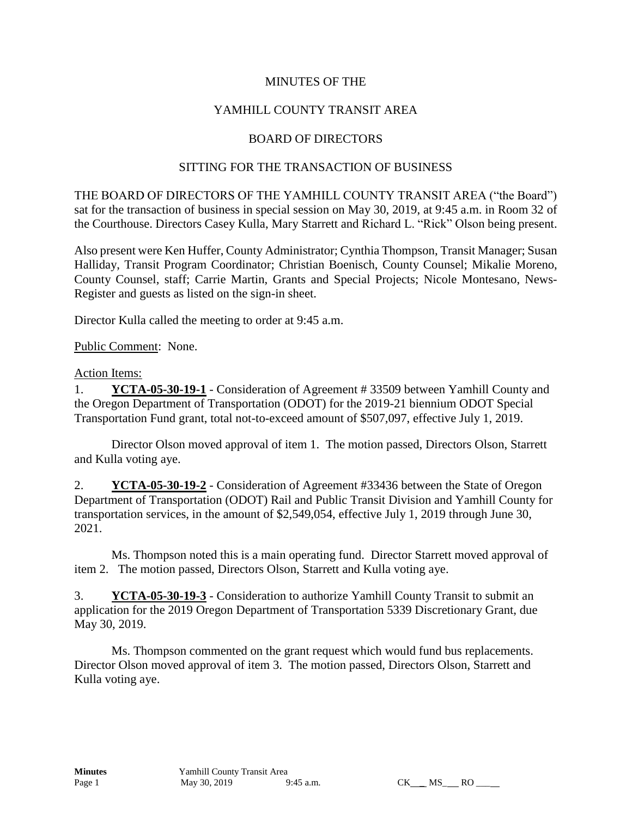## MINUTES OF THE

## YAMHILL COUNTY TRANSIT AREA

### BOARD OF DIRECTORS

#### SITTING FOR THE TRANSACTION OF BUSINESS

THE BOARD OF DIRECTORS OF THE YAMHILL COUNTY TRANSIT AREA ("the Board") sat for the transaction of business in special session on May 30, 2019, at 9:45 a.m. in Room 32 of the Courthouse. Directors Casey Kulla, Mary Starrett and Richard L. "Rick" Olson being present.

Also present were Ken Huffer, County Administrator; Cynthia Thompson, Transit Manager; Susan Halliday, Transit Program Coordinator; Christian Boenisch, County Counsel; Mikalie Moreno, County Counsel, staff; Carrie Martin, Grants and Special Projects; Nicole Montesano, News-Register and guests as listed on the sign-in sheet.

Director Kulla called the meeting to order at 9:45 a.m.

Public Comment: None.

#### Action Items:

1. **YCTA-05-30-19-1** - Consideration of Agreement # 33509 between Yamhill County and the Oregon Department of Transportation (ODOT) for the 2019-21 biennium ODOT Special Transportation Fund grant, total not-to-exceed amount of \$507,097, effective July 1, 2019.

Director Olson moved approval of item 1. The motion passed, Directors Olson, Starrett and Kulla voting aye.

2. **YCTA-05-30-19-2** - Consideration of Agreement #33436 between the State of Oregon Department of Transportation (ODOT) Rail and Public Transit Division and Yamhill County for transportation services, in the amount of \$2,549,054, effective July 1, 2019 through June 30, 2021.

Ms. Thompson noted this is a main operating fund. Director Starrett moved approval of item 2. The motion passed, Directors Olson, Starrett and Kulla voting aye.

3. **YCTA-05-30-19-3** - Consideration to authorize Yamhill County Transit to submit an application for the 2019 Oregon Department of Transportation 5339 Discretionary Grant, due May 30, 2019.

Ms. Thompson commented on the grant request which would fund bus replacements. Director Olson moved approval of item 3. The motion passed, Directors Olson, Starrett and Kulla voting aye.